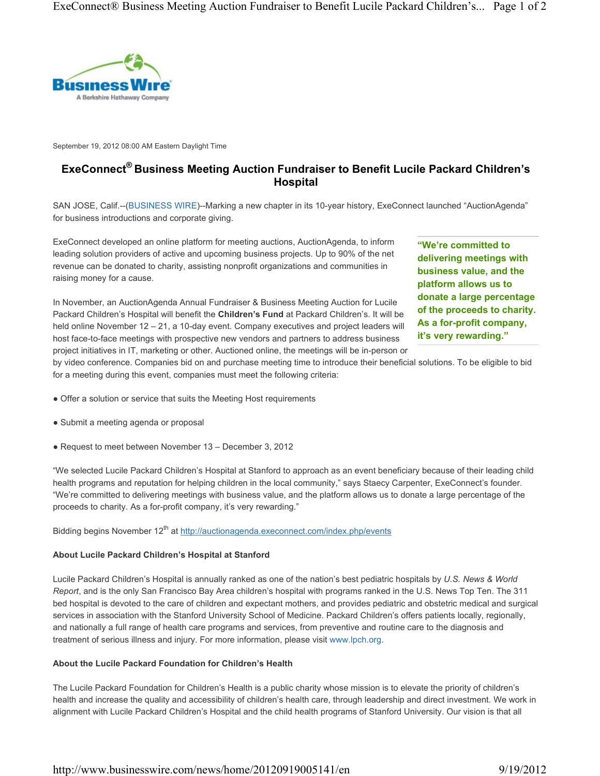

September 19, 2012 08:00 AM Eastern Daylight Time

# ExeConnect® Business Meeting Auction Fundraiser to Benefit Lucile Packard Children's Hospital

SAN JOSE, Calif.--(BUSINESS WIRE)--Marking a new chapter in its 10-year history, ExeConnect launched "AuctionAgenda" for business introductions and corporate giving.

ExeConnect developed an online platform for meeting auctions, AuctionAgenda, to inform leading solution providers of active and upcoming business projects. Up to 90% of the net revenue can be donated to charity, assisting nonprofit organizations and communities in raising money for a cause.

In November, an AuctionAgenda Annual Fundraiser & Business Meeting Auction for Lucile Packard Children's Hospital will benefit the Children's Fund at Packard Children's. It will be held online November 12 – 21, a 10-day event. Company executives and project leaders will host face-to-face meetings with prospective new vendors and partners to address business project initiatives in IT, marketing or other. Auctioned online, the meetings will be in-person or "We're committed to delivering meetings with business value, and the platform allows us to donate a large percentage of the proceeds to charity. As a for-profit company, it's very rewarding."

by video conference. Companies bid on and purchase meeting time to introduce their beneficial solutions. To be eligible to bid for a meeting during this event, companies must meet the following criteria:

- Offer a solution or service that suits the Meeting Host requirements
- Submit a meeting agenda or proposal
- Request to meet between November 13 December 3, 2012

"We selected Lucile Packard Children's Hospital at Stanford to approach as an event beneficiary because of their leading child health programs and reputation for helping children in the local community," says Staecy Carpenter, ExeConnect's founder. "We're committed to delivering meetings with business value, and the platform allows us to donate a large percentage of the proceeds to charity. As a for-profit company, it's very rewarding."

Bidding begins November 12<sup>th</sup> at http://auctionagenda.execonnect.com/index.php/events

### About Lucile Packard Children's Hospital at Stanford

Lucile Packard Children's Hospital is annually ranked as one of the nation's best pediatric hospitals by U.S. News & World Report, and is the only San Francisco Bay Area children's hospital with programs ranked in the U.S. News Top Ten. The 311 bed hospital is devoted to the care of children and expectant mothers, and provides pediatric and obstetric medical and surgical services in association with the Stanford University School of Medicine. Packard Children's offers patients locally, regionally, and nationally a full range of health care programs and services, from preventive and routine care to the diagnosis and treatment of serious illness and injury. For more information, please visit www.lpch.org.

### About the Lucile Packard Foundation for Children's Health

The Lucile Packard Foundation for Children's Health is a public charity whose mission is to elevate the priority of children's health and increase the quality and accessibility of children's health care, through leadership and direct investment. We work in alignment with Lucile Packard Children's Hospital and the child health programs of Stanford University. Our vision is that all